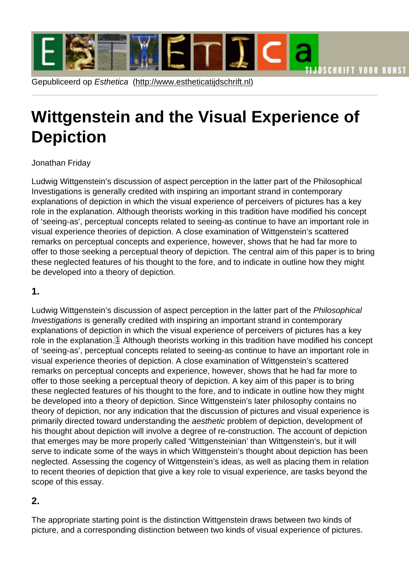# <span id="page-0-0"></span>Wittgenstein [and the Visual Ex](http://www.estheticatijdschrift.nl)perience of Depiction

### Jonathan Friday

Ludwig Wittgenstein's discussion of aspect perception in the latter part of the Philosophical Investigations is generally credited with inspiring an important strand in contemporary explanations of depiction in which the visual experience of perceivers of pictures has a key role in the explanation. Although theorists working in this tradition have modified his concept of 'seeing-as', perceptual concepts related to seeing-as continue to have an important role in visual experience theories of depiction. A close examination of Wittgenstein's scattered remarks on perceptual concepts and experience, however, shows that he had far more to offer to those seeking a perceptual theory of depiction. The central aim of this paper is to bring these neglected features of his thought to the fore, and to indicate in outline how they might be developed into a theory of depiction.

#### 1.

Ludwig Wittgenstein's discussion of aspect perception in the latter part of the Philosophical Investigations is generally credited with inspiring an important strand in contemporary explanations of depiction in which the visual experience of perceivers of pictures has a key role in the explanation. $\mathbb{1}$  Although theorists working in this tradition have modified his concept of 'seeing-as', perceptual concepts related to seeing-as continue to have an important role in visual experience theories of depiction. A close examination of Wittgenstein's scattered remarks on perceptual concepts and experience, however, shows that he had far more to offer to those seeking a perceptual theory of depiction. A key aim of this paper is to bring these neglected features of his thought to the fore, and to indicate in outline how they might be developed into a theory of depiction. Since Wittgenstein's later philosophy contains no theory of depiction, nor any indication that the discussion of pictures and visual experience is primarily directed toward understanding the aesthetic problem of depiction, development of his thought about depiction will involve a degree of re-construction. The account of depiction that emerges may be more properly called 'Wittgensteinian' than Wittgenstein's, but it will serve to indicate some of the ways in which Wittgenstein's thought about depiction has been neglected. Assessing the cogency of Wittgenstein's ideas, as well as placing them in relation to recent theories of depiction that give a key role to visual experience, are tasks beyond the scope of this essay.

# 2.

The appropriate starting point is the distinction Wittgenstein draws between two kinds of picture, and a corresponding distinction between two kinds of visual experience of pictures.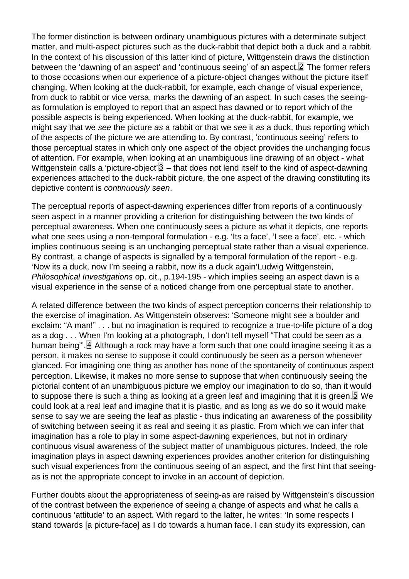<span id="page-1-0"></span>The former distinction is between ordinary unambiguous pictures with a determinate subject matter, and multi-aspect pictures such as the duck-rabbit that depict both a duck and a rabbit. In the context of his discussion of this latter kind of picture, Wittgenstein draws the distinction between the 'dawning of an aspect' and 'continuous seeing' of an aspect.<sup>[2]</sup> The former refers to those occasions when our experience of a picture-object changes without the picture itself changing. When looking at the duck-rabbit, for example, each change of visual experience, from duck to rabbit or vice versa, marks the dawning of an aspect. In such cases the seeingas formulation is employed to report that an aspect has dawned or to report which of the possible aspects is being experienced. When looking at the duck-rabbit, for example, we might say that we see the picture as a rabbit or that we see it as a duck, thus reporting which of the aspects of the picture we are attending to. By contrast, 'continuous seeing' refers to those perceptual states in which only one aspect of the object provides the unchanging focus of attention. For example, when looking at an unambiguous line drawing of an object - what Wittgenstein calls a 'picture-object' $\beta$  – that does not lend itself to the kind of aspect-dawning experiences attached to the duck-rabbit picture, the one aspect of the drawing constituting its depictive content is continuously seen.

The perceptual reports of aspect-dawning experiences differ from reports of a continuously seen aspect in a manner providing a criterion for distinguishing between the two kinds of perceptual awareness. When one continuously sees a picture as what it depicts, one reports what one sees using a non-temporal formulation - e.g. 'Its a face', 'I see a face', etc. - which implies continuous seeing is an unchanging perceptual state rather than a visual experience. By contrast, a change of aspects is signalled by a temporal formulation of the report - e.g. 'Now its a duck, now I'm seeing a rabbit, now its a duck again'Ludwig Wittgenstein, Philosophical Investigations op. cit., p.194-195 - which implies seeing an aspect dawn is a visual experience in the sense of a noticed change from one perceptual state to another.

A related difference between the two kinds of aspect perception concerns their relationship to the exercise of imagination. As Wittgenstein observes: 'Someone might see a boulder and exclaim: "A man!" . . . but no imagination is required to recognize a true-to-life picture of a dog as a dog . . . When I'm looking at a photograph, I don't tell myself "That could be seen as a human being"'. Although a rock may have a form such that one could imagine seeing it as a person, it makes no sense to suppose it could continuously be seen as a person whenever glanced. For imagining one thing as another has none of the spontaneity of continuous aspect perception. Likewise, it makes no more sense to suppose that when continuously seeing the pictorial content of an unambiguous picture we employ our imagination to do so, than it would to suppose there is such a thing as looking at a green leaf and imagining that it is green. **5** We could look at a real leaf and imagine that it is plastic, and as long as we do so it would make sense to say we are seeing the leaf as plastic - thus indicating an awareness of the possibility of switching between seeing it as real and seeing it as plastic. From which we can infer that imagination has a role to play in some aspect-dawning experiences, but not in ordinary continuous visual awareness of the subject matter of unambiguous pictures. Indeed, the role imagination plays in aspect dawning experiences provides another criterion for distinguishing such visual experiences from the continuous seeing of an aspect, and the first hint that seeingas is not the appropriate concept to invoke in an account of depiction.

Further doubts about the appropriateness of seeing-as are raised by Wittgenstein's discussion of the contrast between the experience of seeing a change of aspects and what he calls a continuous 'attitude' to an aspect. With regard to the latter, he writes: 'In some respects I stand towards [a picture-face] as I do towards a human face. I can study its expression, can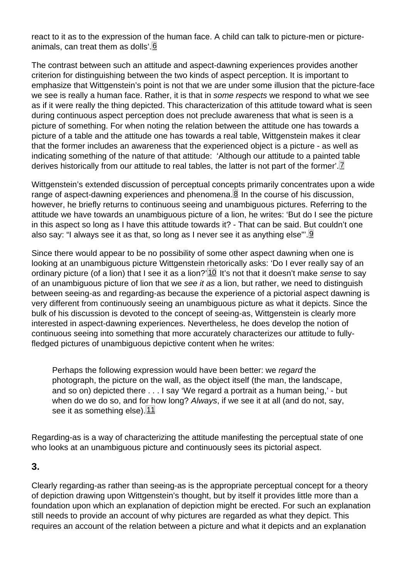<span id="page-2-0"></span>react to it as to the expression of the human face. A child can talk to picture-men or pictureanimals, can treat them as dolls'. 6

The contrast between such an attitude and aspect-dawning experiences provides another criterion for distinguishing between the two kinds of aspect perception. It is important to emphasize that Wittgenstein's point is not that we are under some illusion that the picture-face we see is really a human face. Rather, it is that in some respects we respond to what we see as if it were really the thing depicted. This characterization of this attitude toward what is seen during continuous aspect perception does not preclude awareness that what is seen is a picture of something. For when noting the relation between the attitude one has towards a picture of a table and the attitude one has towards a real table, Wittgenstein makes it clear that the former includes an awareness that the experienced object is a picture - as well as indicating something of the nature of that attitude: 'Although our attitude to a painted table derives historically from our attitude to real tables, the latter is not part of the former'.<sup>[7]</sup>

Wittgenstein's extended discussion of perceptual concepts primarily concentrates upon a wide range of aspect-dawning experiences and phenomena. $\mathbf{\mathbf{\underline{8}}}$  In the course of his discussion, however, he briefly returns to continuous seeing and unambiguous pictures. Referring to the attitude we have towards an unambiguous picture of a lion, he writes: 'But do I see the picture in this aspect so long as I have this attitude towards it? - That can be said. But couldn't one also say: "I always see it as that, so long as I never see it as anything else"'.<u>9</u>

Since there would appear to be no possibility of some other aspect dawning when one is looking at an unambiguous picture Wittgenstein rhetorically asks: 'Do I ever really say of an ordinary picture (of a lion) that I see it as a lion?' $10$  It's not that it doesn't make sense to say of an unambiguous picture of lion that we see it as a lion, but rather, we need to distinguish between seeing-as and regarding-as because the experience of a pictorial aspect dawning is very different from continuously seeing an unambiguous picture as what it depicts. Since the bulk of his discussion is devoted to the concept of seeing-as, Wittgenstein is clearly more interested in aspect-dawning experiences. Nevertheless, he does develop the notion of continuous seeing into something that more accurately characterizes our attitude to fullyfledged pictures of unambiguous depictive content when he writes:

Perhaps the following expression would have been better: we regard the photograph, the picture on the wall, as the object itself (the man, the landscape, and so on) depicted there . . . I say 'We regard a portrait as a human being,' - but when do we do so, and for how long? Always, if we see it at all (and do not, say, see it as something else).<sup>[11]</sup>

Regarding-as is a way of characterizing the attitude manifesting the perceptual state of one who looks at an unambiguous picture and continuously sees its pictorial aspect.

#### 3.

Clearly regarding-as rather than seeing-as is the appropriate perceptual concept for a theory of depiction drawing upon Wittgenstein's thought, but by itself it provides little more than a foundation upon which an explanation of depiction might be erected. For such an explanation still needs to provide an account of why pictures are regarded as what they depict. This requires an account of the relation between a picture and what it depicts and an explanation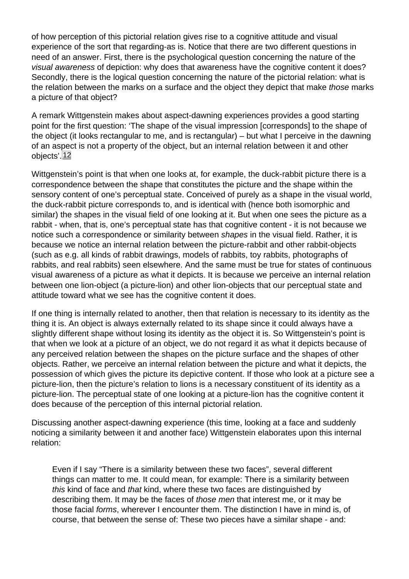<span id="page-3-0"></span>of how perception of this pictorial relation gives rise to a cognitive attitude and visual experience of the sort that regarding-as is. Notice that there are two different questions in need of an answer. First, there is the psychological question concerning the nature of the visual awareness of depiction: why does that awareness have the cognitive content it does? Secondly, there is the logical question concerning the nature of the pictorial relation: what is the relation between the marks on a surface and the object they depict that make those marks a picture of that object?

A remark Wittgenstein makes about aspect-dawning experiences provides a good starting point for the first question: 'The shape of the visual impression [corresponds] to the shape of the object (it looks rectangular to me, and is rectangular) – but what I perceive in the dawning of an aspect is not a property of the object, but an internal relation between it and other objects'. 12

Wittgenstein's point is that when one looks at, for example, the duck-rabbit picture there is a correspondence between the shape that constitutes the picture and the shape within the sensory content of one's perceptual state. Conceived of purely as a shape in the visual world, the duck-rabbit picture corresponds to, and is identical with (hence both isomorphic and similar) the shapes in the visual field of one looking at it. But when one sees the picture as a rabbit - when, that is, one's perceptual state has that cognitive content - it is not because we notice such a correspondence or similarity between shapes in the visual field. Rather, it is because we notice an internal relation between the picture-rabbit and other rabbit-objects (such as e.g. all kinds of rabbit drawings, models of rabbits, toy rabbits, photographs of rabbits, and real rabbits) seen elsewhere. And the same must be true for states of continuous visual awareness of a picture as what it depicts. It is because we perceive an internal relation between one lion-object (a picture-lion) and other lion-objects that our perceptual state and attitude toward what we see has the cognitive content it does.

If one thing is internally related to another, then that relation is necessary to its identity as the thing it is. An object is always externally related to its shape since it could always have a slightly different shape without losing its identity as the object it is. So Wittgenstein's point is that when we look at a picture of an object, we do not regard it as what it depicts because of any perceived relation between the shapes on the picture surface and the shapes of other objects. Rather, we perceive an internal relation between the picture and what it depicts, the possession of which gives the picture its depictive content. If those who look at a picture see a picture-lion, then the picture's relation to lions is a necessary constituent of its identity as a picture-lion. The perceptual state of one looking at a picture-lion has the cognitive content it does because of the perception of this internal pictorial relation.

Discussing another aspect-dawning experience (this time, looking at a face and suddenly noticing a similarity between it and another face) Wittgenstein elaborates upon this internal relation:

Even if I say "There is a similarity between these two faces", several different things can matter to me. It could mean, for example: There is a similarity between this kind of face and that kind, where these two faces are distinguished by describing them. It may be the faces of those men that interest me, or it may be those facial forms, wherever I encounter them. The distinction I have in mind is, of course, that between the sense of: These two pieces have a similar shape - and: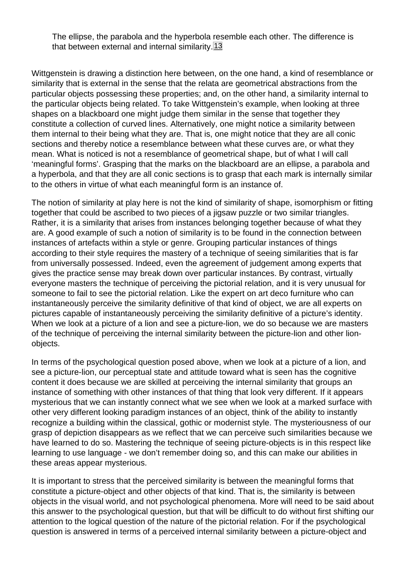The ellipse, the parabola and the hyperbola resemble each other. The difference is that between external and internal similarity.<sup>[13]</sup>

<span id="page-4-0"></span>Wittgenstein is drawing a distinction here between, on the one hand, a kind of resemblance or similarity that is external in the sense that the relata are geometrical abstractions from the particular objects possessing these properties; and, on the other hand, a similarity internal to the particular objects being related. To take Wittgenstein's example, when looking at three shapes on a blackboard one might judge them similar in the sense that together they constitute a collection of curved lines. Alternatively, one might notice a similarity between them internal to their being what they are. That is, one might notice that they are all conic sections and thereby notice a resemblance between what these curves are, or what they mean. What is noticed is not a resemblance of geometrical shape, but of what I will call 'meaningful forms'. Grasping that the marks on the blackboard are an ellipse, a parabola and a hyperbola, and that they are all conic sections is to grasp that each mark is internally similar to the others in virtue of what each meaningful form is an instance of.

The notion of similarity at play here is not the kind of similarity of shape, isomorphism or fitting together that could be ascribed to two pieces of a jigsaw puzzle or two similar triangles. Rather, it is a similarity that arises from instances belonging together because of what they are. A good example of such a notion of similarity is to be found in the connection between instances of artefacts within a style or genre. Grouping particular instances of things according to their style requires the mastery of a technique of seeing similarities that is far from universally possessed. Indeed, even the agreement of judgement among experts that gives the practice sense may break down over particular instances. By contrast, virtually everyone masters the technique of perceiving the pictorial relation, and it is very unusual for someone to fail to see the pictorial relation. Like the expert on art deco furniture who can instantaneously perceive the similarity definitive of that kind of object, we are all experts on pictures capable of instantaneously perceiving the similarity definitive of a picture's identity. When we look at a picture of a lion and see a picture-lion, we do so because we are masters of the technique of perceiving the internal similarity between the picture-lion and other lionobjects.

In terms of the psychological question posed above, when we look at a picture of a lion, and see a picture-lion, our perceptual state and attitude toward what is seen has the cognitive content it does because we are skilled at perceiving the internal similarity that groups an instance of something with other instances of that thing that look very different. If it appears mysterious that we can instantly connect what we see when we look at a marked surface with other very different looking paradigm instances of an object, think of the ability to instantly recognize a building within the classical, gothic or modernist style. The mysteriousness of our grasp of depiction disappears as we reflect that we can perceive such similarities because we have learned to do so. Mastering the technique of seeing picture-objects is in this respect like learning to use language - we don't remember doing so, and this can make our abilities in these areas appear mysterious.

It is important to stress that the perceived similarity is between the meaningful forms that constitute a picture-object and other objects of that kind. That is, the similarity is between objects in the visual world, and not psychological phenomena. More will need to be said about this answer to the psychological question, but that will be difficult to do without first shifting our attention to the logical question of the nature of the pictorial relation. For if the psychological question is answered in terms of a perceived internal similarity between a picture-object and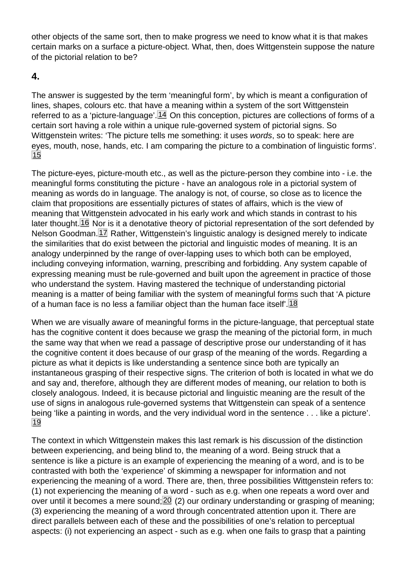<span id="page-5-0"></span>other objects of the same sort, then to make progress we need to know what it is that makes certain marks on a surface a picture-object. What, then, does Wittgenstein suppose the nature of the pictorial relation to be?

# 4.

The answer is suggested by the term 'meaningful form', by which is meant a configuration of lines, shapes, colours etc. that have a meaning within a system of the sort Wittgenstein referred to as a 'picture-language'. <sup>[14]</sup> On this conception, pictures are collections of forms of a certain sort having a role within a unique rule-governed system of pictorial signs. So Wittgenstein writes: 'The picture tells me something: it uses words, so to speak: here are eyes, mouth, nose, hands, etc. I am comparing the picture to a combination of linguistic forms'. 15

The picture-eyes, picture-mouth etc., as well as the picture-person they combine into - i.e. the meaningful forms constituting the picture - have an analogous role in a pictorial system of meaning as words do in language. The analogy is not, of course, so close as to licence the claim that propositions are essentially pictures of states of affairs, which is the view of meaning that Wittgenstein advocated in his early work and which stands in contrast to his later thought. 16 Nor is it a denotative theory of pictorial representation of the sort defended by Nelson Goodman.<sup>[17]</sup> Rather, Wittgenstein's linguistic analogy is designed merely to indicate the similarities that do exist between the pictorial and linguistic modes of meaning. It is an analogy underpinned by the range of over-lapping uses to which both can be employed, including conveying information, warning, prescribing and forbidding. Any system capable of expressing meaning must be rule-governed and built upon the agreement in practice of those who understand the system. Having mastered the technique of understanding pictorial meaning is a matter of being familiar with the system of meaningful forms such that 'A picture of a human face is no less a familiar object than the human face itself'.<sup>[18]</sup>

When we are visually aware of meaningful forms in the picture-language, that perceptual state has the cognitive content it does because we grasp the meaning of the pictorial form, in much the same way that when we read a passage of descriptive prose our understanding of it has the cognitive content it does because of our grasp of the meaning of the words. Regarding a picture as what it depicts is like understanding a sentence since both are typically an instantaneous grasping of their respective signs. The criterion of both is located in what we do and say and, therefore, although they are different modes of meaning, our relation to both is closely analogous. Indeed, it is because pictorial and linguistic meaning are the result of the use of signs in analogous rule-governed systems that Wittgenstein can speak of a sentence being 'like a painting in words, and the very individual word in the sentence . . . like a picture'. 19

The context in which Wittgenstein makes this last remark is his discussion of the distinction between experiencing, and being blind to, the meaning of a word. Being struck that a sentence is like a picture is an example of experiencing the meaning of a word, and is to be contrasted with both the 'experience' of skimming a newspaper for information and not experiencing the meaning of a word. There are, then, three possibilities Wittgenstein refers to: (1) not experiencing the meaning of a word - such as e.g. when one repeats a word over and over until it becomes a mere sound;  $20$  (2) our ordinary understanding or grasping of meaning; (3) experiencing the meaning of a word through concentrated attention upon it. There are direct parallels between each of these and the possibilities of one's relation to perceptual aspects: (i) not experiencing an aspect - such as e.g. when one fails to grasp that a painting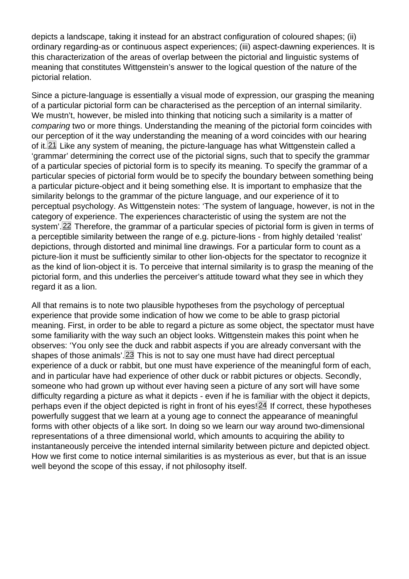<span id="page-6-0"></span>depicts a landscape, taking it instead for an abstract configuration of coloured shapes; (ii) ordinary regarding-as or continuous aspect experiences; (iii) aspect-dawning experiences. It is this characterization of the areas of overlap between the pictorial and linguistic systems of meaning that constitutes Wittgenstein's answer to the logical question of the nature of the pictorial relation.

Since a picture-language is essentially a visual mode of expression, our grasping the meaning of a particular pictorial form can be characterised as the perception of an internal similarity. We mustn't, however, be misled into thinking that noticing such a similarity is a matter of comparing two or more things. Understanding the meaning of the pictorial form coincides with our perception of it the way understanding the meaning of a word coincides with our hearing of it. $21$  Like any system of meaning, the picture-language has what Wittgenstein called a 'grammar' determining the correct use of the pictorial signs, such that to specify the grammar of a particular species of pictorial form is to specify its meaning. To specify the grammar of a particular species of pictorial form would be to specify the boundary between something being a particular picture-object and it being something else. It is important to emphasize that the similarity belongs to the grammar of the picture language, and our experience of it to perceptual psychology. As Wittgenstein notes: 'The system of language, however, is not in the category of experience. The experiences characteristic of using the system are not the system'.<sup>22</sup> Therefore, the grammar of a particular species of pictorial form is given in terms of a perceptible similarity between the range of e.g. picture-lions - from highly detailed 'realist' depictions, through distorted and minimal line drawings. For a particular form to count as a picture-lion it must be sufficiently similar to other lion-objects for the spectator to recognize it as the kind of lion-object it is. To perceive that internal similarity is to grasp the meaning of the pictorial form, and this underlies the perceiver's attitude toward what they see in which they regard it as a lion.

All that remains is to note two plausible hypotheses from the psychology of perceptual experience that provide some indication of how we come to be able to grasp pictorial meaning. First, in order to be able to regard a picture as some object, the spectator must have some familiarity with the way such an object looks. Wittgenstein makes this point when he observes: 'You only see the duck and rabbit aspects if you are already conversant with the shapes of those animals'. $[23]$  This is not to say one must have had direct perceptual experience of a duck or rabbit, but one must have experience of the meaningful form of each, and in particular have had experience of other duck or rabbit pictures or objects. Secondly, someone who had grown up without ever having seen a picture of any sort will have some difficulty regarding a picture as what it depicts - even if he is familiar with the object it depicts, perhaps even if the object depicted is right in front of his eyes! $24$  If correct, these hypotheses powerfully suggest that we learn at a young age to connect the appearance of meaningful forms with other objects of a like sort. In doing so we learn our way around two-dimensional representations of a three dimensional world, which amounts to acquiring the ability to instantaneously perceive the intended internal similarity between picture and depicted object. How we first come to notice internal similarities is as mysterious as ever, but that is an issue well beyond the scope of this essay, if not philosophy itself.